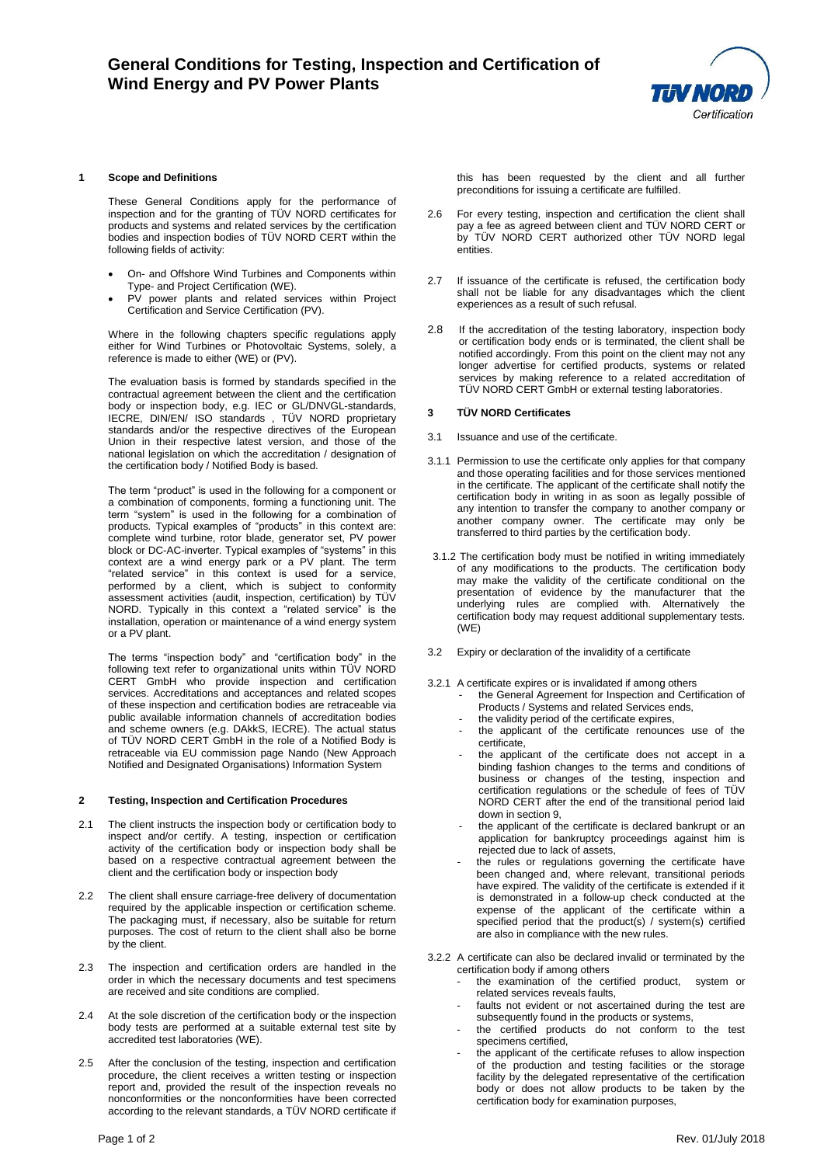

## **1 Scope and Definitions**

These General Conditions apply for the performance of inspection and for the granting of TÜV NORD certificates for products and systems and related services by the certification bodies and inspection bodies of TÜV NORD CERT within the following fields of activity:

- On- and Offshore Wind Turbines and Components within Type- and Project Certification (WE).
- PV power plants and related services within Project Certification and Service Certification (PV).

Where in the following chapters specific regulations apply either for Wind Turbines or Photovoltaic Systems, solely, a reference is made to either (WE) or (PV).

The evaluation basis is formed by standards specified in the contractual agreement between the client and the certification body or inspection body, e.g. IEC or GL/DNVGL-standards, IECRE, DIN/EN/ ISO standards , TÜV NORD proprietary standards and/or the respective directives of the European Union in their respective latest version, and those of the national legislation on which the accreditation / designation of the certification body / Notified Body is based.

The term "product" is used in the following for a component or a combination of components, forming a functioning unit. The term "system" is used in the following for a combination of products. Typical examples of "products" in this context are: complete wind turbine, rotor blade, generator set, PV power block or DC-AC-inverter. Typical examples of "systems" in this context are a wind energy park or a PV plant. The term "related service" in this context is used for a service, performed by a client, which is subject to conformity assessment activities (audit, inspection, certification) by TÜV NORD. Typically in this context a "related service" is the installation, operation or maintenance of a wind energy system or a PV plant.

The terms "inspection body" and "certification body" in the following text refer to organizational units within TÜV NORD CERT GmbH who provide inspection and certification services. Accreditations and acceptances and related scopes of these inspection and certification bodies are retraceable via public available information channels of accreditation bodies and scheme owners (e.g. DAkkS, IECRE). The actual status of TÜV NORD CERT GmbH in the role of a Notified Body is retraceable via EU commission page Nando (New Approach Notified and Designated Organisations) Information System

#### **2 Testing, Inspection and Certification Procedures**

- 2.1 The client instructs the inspection body or certification body to inspect and/or certify. A testing, inspection or certification activity of the certification body or inspection body shall be based on a respective contractual agreement between the client and the certification body or inspection body
- The client shall ensure carriage-free delivery of documentation required by the applicable inspection or certification scheme. The packaging must, if necessary, also be suitable for return purposes. The cost of return to the client shall also be borne by the client.
- 2.3 The inspection and certification orders are handled in the order in which the necessary documents and test specimens are received and site conditions are complied.
- 2.4 At the sole discretion of the certification body or the inspection body tests are performed at a suitable external test site by accredited test laboratories (WE).
- 2.5 After the conclusion of the testing, inspection and certification procedure, the client receives a written testing or inspection report and, provided the result of the inspection reveals no nonconformities or the nonconformities have been corrected according to the relevant standards, a TÜV NORD certificate if

this has been requested by the client and all further preconditions for issuing a certificate are fulfilled.

- 2.6 For every testing, inspection and certification the client shall pay a fee as agreed between client and TÜV NORD CERT or by TÜV NORD CERT authorized other TÜV NORD legal entities.
- 2.7 If issuance of the certificate is refused, the certification body shall not be liable for any disadvantages which the client experiences as a result of such refusal.
- 2.8 If the accreditation of the testing laboratory, inspection body or certification body ends or is terminated, the client shall be notified accordingly. From this point on the client may not any longer advertise for certified products, systems or related services by making reference to a related accreditation of TÜV NORD CERT GmbH or external testing laboratories.

#### **3 TÜV NORD Certificates**

- 3.1 Issuance and use of the certificate.
- 3.1.1 Permission to use the certificate only applies for that company and those operating facilities and for those services mentioned in the certificate. The applicant of the certificate shall notify the certification body in writing in as soon as legally possible of any intention to transfer the company to another company or another company owner. The certificate may only be transferred to third parties by the certification body.
- 3.1.2 The certification body must be notified in writing immediately of any modifications to the products. The certification body may make the validity of the certificate conditional on the presentation of evidence by the manufacturer that the underlying rules are complied with. Alternatively the certification body may request additional supplementary tests. (WE)
- 3.2 Expiry or declaration of the invalidity of a certificate
- 3.2.1 A certificate expires or is invalidated if among others
	- the General Agreement for Inspection and Certification of Products / Systems and related Services ends,
	- the validity period of the certificate expires,
	- the applicant of the certificate renounces use of the certificate,
	- the applicant of the certificate does not accept in a binding fashion changes to the terms and conditions of business or changes of the testing, inspection and certification regulations or the schedule of fees of TÜV NORD CERT after the end of the transitional period laid down in section 9,
	- the applicant of the certificate is declared bankrupt or an application for bankruptcy proceedings against him is rejected due to lack of assets,
	- the rules or regulations governing the certificate have been changed and, where relevant, transitional periods have expired. The validity of the certificate is extended if it is demonstrated in a follow-up check conducted at the expense of the applicant of the certificate within a specified period that the product(s) / system(s) certified are also in compliance with the new rules.
- 3.2.2 A certificate can also be declared invalid or terminated by the certification body if among others
	- the examination of the certified product, system or related services reveals faults,
	- faults not evident or not ascertained during the test are subsequently found in the products or systems,
	- the certified products do not conform to the test specimens certified,
	- the applicant of the certificate refuses to allow inspection of the production and testing facilities or the storage facility by the delegated representative of the certification body or does not allow products to be taken by the certification body for examination purposes,